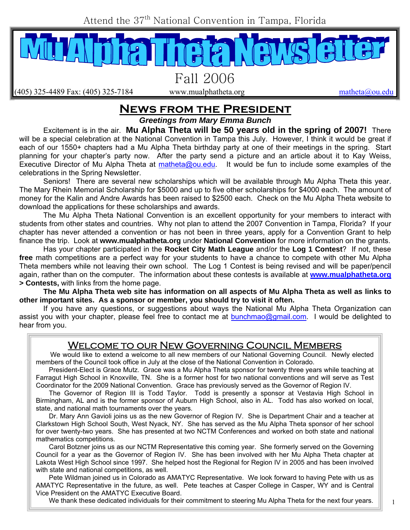Attend the 37<sup>th</sup> National Convention in Tampa, Florida



(405) 325-4489 Fax: (405) 325-7184 www.mualphatheta.org matheta $\omega$ ou.edu

# **News from the President**

*Greetings from Mary Emma Bunch* 

Excitement is in the air. **Mu Alpha Theta will be 50 years old in the spring of 2007!** There will be a special celebration at the National Convention in Tampa this July. However, I think it would be great if each of our 1550+ chapters had a Mu Alpha Theta birthday party at one of their meetings in the spring. Start planning for your chapter's party now. After the party send a picture and an article about it to Kay Weiss, Executive Director of Mu Alpha Theta at matheta@ou.edu. It would be fun to include some examples of the celebrations in the Spring Newsletter.

Seniors! There are several new scholarships which will be available through Mu Alpha Theta this year. The Mary Rhein Memorial Scholarship for \$5000 and up to five other scholarships for \$4000 each. The amount of money for the Kalin and Andre Awards has been raised to \$2500 each. Check on the Mu Alpha Theta website to download the applications for these scholarships and awards.

The Mu Alpha Theta National Convention is an excellent opportunity for your members to interact with students from other states and countries. Why not plan to attend the 2007 Convention in Tampa, Florida? If your chapter has never attended a convention or has not been in three years, apply for a Convention Grant to help finance the trip. Look at **www.mualphatheta.org** under **National Convention** for more information on the grants.

Has your chapter participated in the **Rocket City Math League** and/or the **Log 1 Contest**? If not, these **free** math competitions are a perfect way for your students to have a chance to compete with other Mu Alpha Theta members while not leaving their own school. The Log 1 Contest is being revised and will be paper/pencil again, rather than on the computer. The information about these contests is available at **www.mualphatheta.org > Contests,** with links from the home page.

**The Mu Alpha Theta web site has information on all aspects of Mu Alpha Theta as well as links to other important sites. As a sponsor or member, you should try to visit it often.** 

If you have any questions, or suggestions about ways the National Mu Alpha Theta Organization can assist you with your chapter, please feel free to contact me at **bunchmao@gmail.com.** I would be delighted to hear from you.

# WELCOME TO OUR NEW GOVERNING COUNCIL MEMBERS

We would like to extend a welcome to all new members of our National Governing Council. Newly elected members of the Council took office in July at the close of the National Convention in Colorado.

 President-Elect is Grace Mutz. Grace was a Mu Alpha Theta sponsor for twenty three years while teaching at Farragut High School in Knoxville, TN. She is a former host for two national conventions and will serve as Test Coordinator for the 2009 National Convention. Grace has previously served as the Governor of Region IV.

 The Governor of Region III is Todd Taylor. Todd is presently a sponsor at Vestavia High School in Birmingham, AL and is the former sponsor of Auburn High School, also in AL. Todd has also worked on local, state, and national math tournaments over the years.

 Dr. Mary Ann Gavioli joins us as the new Governor of Region IV. She is Department Chair and a teacher at Clarkstown High School South, West Nyack, NY. She has served as the Mu Alpha Theta sponsor of her school for over twenty-two years. She has presented at two NCTM Conferences and worked on both state and national mathematics competitions.

 Carol Botzner joins us as our NCTM Representative this coming year. She formerly served on the Governing Council for a year as the Governor of Region IV. She has been involved with her Mu Alpha Theta chapter at Lakota West High School since 1997. She helped host the Regional for Region IV in 2005 and has been involved with state and national competitions, as well.

 Pete Wildman joined us in Colorado as AMATYC Representative. We look forward to having Pete with us as AMATYC Representative in the future, as well. Pete teaches at Casper College in Casper, WY and is Central Vice President on the AMATYC Executive Board.

We thank these dedicated individuals for their commitment to steering Mu Alpha Theta for the next four years.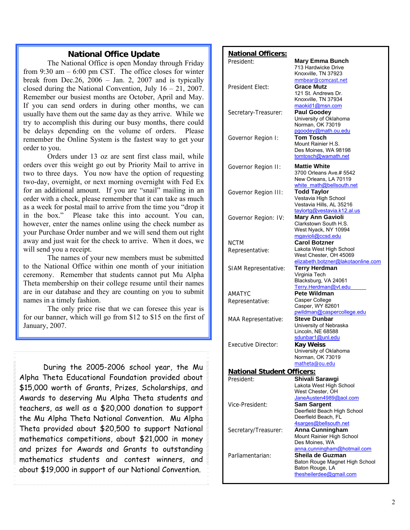#### **National Office Update**

The National Office is open Monday through Friday from 9:30 am – 6:00 pm CST. The office closes for winter break from Dec.26,  $2006 - Jan.$  2,  $2007$  and is typically closed during the National Convention, July  $16 - 21$ , 2007. Remember our busiest months are October, April and May. If you can send orders in during other months, we can usually have them out the same day as they arrive. While we try to accomplish this during our busy months, there could be delays depending on the volume of orders. Please remember the Online System is the fastest way to get your order to you.

 Orders under 13 oz are sent first class mail, while orders over this weight go out by Priority Mail to arrive in two to three days. You now have the option of requesting two-day, overnight, or next morning overnight with Fed Ex for an additional amount. If you are "snail" mailing in an order with a check, please remember that it can take as much as a week for postal mail to arrive from the time you "drop it in the box." Please take this into account. You can, however, enter the names online using the check number as your Purchase Order number and we will send them out right away and just wait for the check to arrive. When it does, we will send you a receipt.

 The names of your new members must be submitted to the National Office within one month of your initiation ceremony. Remember that students cannot put Mu Alpha Theta membership on their college resume until their names are in our database and they are counting on you to submit names in a timely fashion.

 The only price rise that we can foresee this year is for our banner, which will go from \$12 to \$15 on the first of January, 2007.

 During the 2005-2006 school year, the Mu Alpha Theta Educational Foundation provided about \$15,000 worth of Grants, Prizes, Scholarships, and Awards to deserving Mu Alpha Theta students and teachers, as well as a \$20,000 donation to support the Mu Alpha Theta National Convention. Mu Alpha Theta provided about \$20,500 to support National mathematics competitions, about \$21,000 in money and prizes for Awards and Grants to outstanding mathematics students and contest winners, and about \$19,000 in support of our National Convention.

| <b>National Officers:</b>         |                                                         |
|-----------------------------------|---------------------------------------------------------|
| President:                        | <b>Mary Emma Bunch</b>                                  |
|                                   | 713 Hardwicke Drive<br>Knoxville, TN 37923              |
|                                   | mmbear@comcast.net                                      |
| <b>President Elect:</b>           | <b>Grace Mutz</b>                                       |
|                                   | 121 St. Andrews Dr.                                     |
|                                   | Knoxville, TN 37934<br>maokid1@msn.com                  |
| Secretary-Treasurer:              | <b>Paul Goodey</b>                                      |
|                                   | University of Oklahoma                                  |
|                                   | Norman, OK 73019                                        |
| Governor Region I:                | pgoodey@math.ou.edu<br><b>Tom Tosch</b>                 |
|                                   | Mount Rainier H.S.                                      |
|                                   | Des Moines, WA 98198                                    |
|                                   | tomtosch@wamath.net                                     |
| Governor Region II:               | <b>Mattie White</b>                                     |
|                                   | 3700 Orleans Ave.# 5542<br>New Orleans, LA 70119        |
|                                   | white math@bellsouth.net                                |
| Governor Region III:              | <b>Todd Taylor</b>                                      |
|                                   | Vestavia High School                                    |
|                                   | Vestavia Hills, AL 35216<br>taylortg@vestavia.k12.al.us |
| Governor Region: IV:              | Mary Ann Gavioli                                        |
|                                   | Clarkstown South H.S.                                   |
|                                   | West Nyack, NY 10994                                    |
| <b>NCTM</b>                       | mgavioli@ccsd.edu<br><b>Carol Botzner</b>               |
| Representative:                   | Lakota West High School                                 |
|                                   | West Chester, OH 45069                                  |
|                                   | elizabeth.botzner@lakotaonline.com<br>Terry Herdman     |
| SIAM Representative:              | Virginia Tech                                           |
|                                   | Blacksburg, VA 24061                                    |
|                                   | Terry.Herdman@vt.edu<br>Pete Wildman                    |
| <b>AMATYC</b><br>Representative:  | Casper College                                          |
|                                   | Casper, WY 82601                                        |
|                                   | pwildman@caspercollege.edu                              |
| <b>MAA Representative:</b>        | <b>Steve Dunbar</b><br>University of Nebraska           |
|                                   | Lincoln, NE 68588                                       |
|                                   | sdunbar1@unl.edu                                        |
| <b>Executive Director:</b>        | <b>Kay Weiss</b><br>University of Oklahoma              |
|                                   | Norman, OK 73019                                        |
|                                   | matheta@ou.edu                                          |
| <b>National Student Officers:</b> |                                                         |
| President:                        | Shivali Sarawgi                                         |
|                                   | Lakota West High School<br>West Chester, OH             |
|                                   | JaneAusten4989@aol.com                                  |
| Vice-President:                   | <b>Sam Sargent</b>                                      |
|                                   | Deerfield Beach High School                             |
|                                   | Deerfield Beach, FL<br>4sarges@bellsouth.net            |
| Secretary/Treasurer:              | Anna Cunningham                                         |
|                                   | Mount Rainier High School                               |
|                                   | Des Moines, WA                                          |
| Parliamentarian:                  | anna.cunningham@hotmail.com<br>Sheila de Guzman         |
|                                   | Baton Rouge Magnet High School                          |
|                                   | Baton Rouge, LA                                         |
|                                   | thesheilerdee@gmail.com                                 |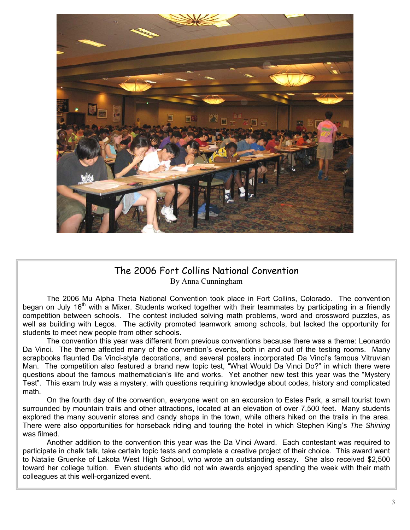

# The 2006 Fort Collins National Convention By Anna Cunningham

The 2006 Mu Alpha Theta National Convention took place in Fort Collins, Colorado. The convention began on July 16<sup>th</sup> with a Mixer. Students worked together with their teammates by participating in a friendly competition between schools. The contest included solving math problems, word and crossword puzzles, as well as building with Legos. The activity promoted teamwork among schools, but lacked the opportunity for students to meet new people from other schools.

The convention this year was different from previous conventions because there was a theme: Leonardo Da Vinci. The theme affected many of the convention's events, both in and out of the testing rooms. Many scrapbooks flaunted Da Vinci-style decorations, and several posters incorporated Da Vinci's famous Vitruvian Man. The competition also featured a brand new topic test, "What Would Da Vinci Do?" in which there were questions about the famous mathematician's life and works. Yet another new test this year was the "Mystery Test". This exam truly was a mystery, with questions requiring knowledge about codes, history and complicated math.

On the fourth day of the convention, everyone went on an excursion to Estes Park, a small tourist town surrounded by mountain trails and other attractions, located at an elevation of over 7,500 feet. Many students explored the many souvenir stores and candy shops in the town, while others hiked on the trails in the area. There were also opportunities for horseback riding and touring the hotel in which Stephen King's *The Shining* was filmed.

Another addition to the convention this year was the Da Vinci Award. Each contestant was required to participate in chalk talk, take certain topic tests and complete a creative project of their choice. This award went to Natalie Gruenke of Lakota West High School, who wrote an outstanding essay. She also received \$2,500 toward her college tuition. Even students who did not win awards enjoyed spending the week with their math colleagues at this well-organized event.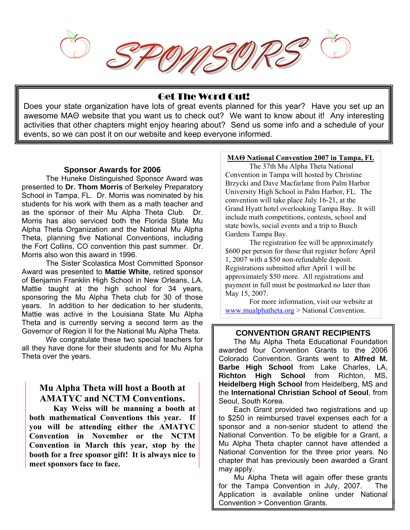## Get The Word Out!

Does your state organization have lots of great events planned for this year? Have you set up an awesome MAΘ website that you want us to check out? We want to know about it! Any interesting activities that other chapters might enjoy hearing about? Send us some info and a schedule of your events, so we can post it on our website and keep everyone informed.

#### **Sponsor Awards for 2006**

ſ

The Huneke Distinguished Sponsor Award was presented to **Dr. Thom Morris** of Berkeley Preparatory School in Tampa, FL. Dr. Morris was nominated by his students for his work with them as a math teacher and as the sponsor of their Mu Alpha Theta Club. Dr. Morris has also serviced both the Florida State Mu Alpha Theta Organization and the National Mu Alpha Theta, planning five National Conventions, including the Fort Collins, CO convention this past summer. Dr. Morris also won this award in 1996.

 The Sister Scolastica Most Committed Sponsor Award was presented to **Mattie White**, retired sponsor of Benjamin Franklin High School in New Orleans, LA. Mattie taught at the high school for 34 years, sponsoring the Mu Alpha Theta club for 30 of those years. In addition to her dedication to her students, Mattie was active in the Louisiana State Mu Alpha Theta and is currently serving a second term as the Governor of Region II for the National Mu Alpha Theta.

 We congratulate these two special teachers for all they have done for their students and for Mu Alpha Theta over the years.

# **Mu Alpha Theta will host a Booth at AMATYC and NCTM Conventions.**

 **Kay Weiss will be manning a booth at both mathematical Conventions this year. If you will be attending either the AMATYC Convention in November or the NCTM Convention in March this year, stop by the booth for a free sponsor gift! It is always nice to meet sponsors face to face.** 

### **MAΘ National Convention 2007 in Tampa, FL**

The 37th Mu Alpha Theta National Convention in Tampa will hosted by Christine Brzycki and Dave Macfarlane from Palm Harbor University High School in Palm Harbor, FL. The convention will take place July 16-21, at the Grand Hyatt hotel overlooking Tampa Bay. It will include math competitions, contests, school and state bowls, social events and a trip to Busch Gardens Tampa Bay.

The registration fee will be approximately \$600 per person for those that register before April 1, 2007 with a \$50 non-refundable deposit. Registrations submitted after April 1 will be approximately \$50 more. All registrations and payment in full must be postmarked no later than May 15, 2007.

For more information, visit our website at www.mualphatheta.org > National Convention.

#### **CONVENTION GRANT RECIPIENTS**

The Mu Alpha Theta Educational Foundation awarded four Convention Grants to the 2006 Colorado Convention. Grants went to **Alfred M. Barbe High School** from Lake Charles, LA, **Richton High School** from Richton, MS, **Heidelberg High School** from Heidelberg, MS and the **International Christian School of Seoul**, from Seoul, South Korea.

Each Grant provided two registrations and up to \$250 in reimbursed travel expenses each for a sponsor and a non-senior student to attend the National Convention. To be eligible for a Grant, a Mu Alpha Theta chapter cannot have attended a National Convention for the three prior years. No chapter that has previously been awarded a Grant may apply.

 Mu Alpha Theta will again offer these grants for the Tampa Convention in July, 2007. The Application is available online under National Convention > Convention Grants.

4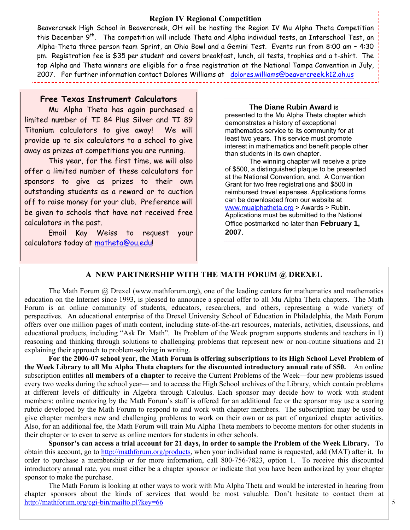#### **Region IV Regional Competition**

Beavercreek High School in Beavercreek, OH will be hosting the Region IV Mu Alpha Theta Competition this December 9<sup>th</sup>. The competition will include Theta and Alpha individual tests, an Interschool Test, an Alpha-Theta three person team Sprint, an Ohio Bowl and a Gemini Test. Events run from 8:00 am – 4:30 pm. Registration fee is \$35 per student and covers breakfast, lunch, all tests, trophies and a t-shirt. The top Alpha and Theta winners are eligible for a free registration at the National Tampa Convention in July, 2007. For further information contact Dolores Williams at dolores.williams@beavercreek.k12.oh.us

### **Free Texas Instrument Calculators**

Mu Alpha Theta has again purchased a limited number of TI 84 Plus Silver and TI 89 Titanium calculators to give away! We will provide up to six calculators to a school to give away as prizes at competitions you are running.

 This year, for the first time, we will also offer a limited number of these calculators for sponsors to give as prizes to their own outstanding students as a reward or to auction off to raise money for your club. Preference will be given to schools that have not received free calculators in the past.

 Email Kay Weiss to request your calculators today at matheta@ou.edu!

#### **The Diane Rubin Award** is

presented to the Mu Alpha Theta chapter which demonstrates a history of exceptional mathematics service to its community for at least two years. This service must promote interest in mathematics and benefit people other than students in its own chapter.

The winning chapter will receive a prize of \$500, a distinguished plaque to be presented at the National Convention, and. A Convention Grant for two free registrations and \$500 in reimbursed travel expenses. Applications forms can be downloaded from our website at www.mualphatheta.org > Awards > Rubin. Applications must be submitted to the National Office postmarked no later than **February 1, 2007**.

### **A NEW PARTNERSHIP WITH THE MATH FORUM @ DREXEL**

The Math Forum  $(a)$  Drexel (www.mathforum.org), one of the leading centers for mathematics and mathematics education on the Internet since 1993, is pleased to announce a special offer to all Mu Alpha Theta chapters. The Math Forum is an online community of students, educators, researchers, and others, representing a wide variety of perspectives. An educational enterprise of the Drexel University School of Education in Philadelphia, the Math Forum offers over one million pages of math content, including state-of-the-art resources, materials, activities, discussions, and educational products, including "Ask Dr. Math". Its Problem of the Week program supports students and teachers in 1) reasoning and thinking through solutions to challenging problems that represent new or non-routine situations and 2) explaining their approach to problem-solving in writing.

 **For the 2006-07 school year, the Math Forum is offering subscriptions to its High School Level Problem of the Week Library to all Mu Alpha Theta chapters for the discounted introductory annual rate of \$50.** An online subscription entitles **all members of a chapter** to receive the Current Problems of the Week—four new problems issued every two weeks during the school year— and to access the High School archives of the Library, which contain problems at different levels of difficulty in Algebra through Calculus. Each sponsor may decide how to work with student members: online mentoring by the Math Forum's staff is offered for an additional fee or the sponsor may use a scoring rubric developed by the Math Forum to respond to and work with chapter members. The subscription may be used to give chapter members new and challenging problems to work on their own or as part of organized chapter activities. Also, for an additional fee, the Math Forum will train Mu Alpha Theta members to become mentors for other students in their chapter or to even to serve as online mentors for students in other schools.

**Sponsor's can access a trial account for 21 days, in order to sample the Problem of the Week Library.** To obtain this account, go to http://mathforum.org/products, when your individual name is requested, add (MAT) after it. In order to purchase a membership or for more information, call 800-756-7823, option 1. To receive this discounted introductory annual rate, you must either be a chapter sponsor or indicate that you have been authorized by your chapter sponsor to make the purchase.

 The Math Forum is looking at other ways to work with Mu Alpha Theta and would be interested in hearing from chapter sponsors about the kinds of services that would be most valuable. Don't hesitate to contact them at http://mathforum.org/cgi-bin/mailto.pl?key=66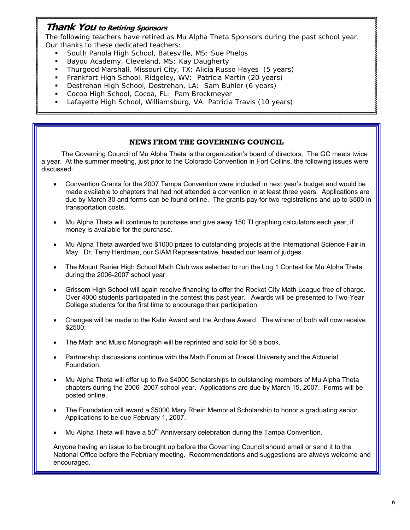## **Thank You to Retiring Sponsors**

The following teachers have retired as Mu Alpha Theta Sponsors during the past school year. Our thanks to these dedicated teachers:

- South Panola High School, Batesville, MS: Sue Phelps
- Bayou Academy, Cleveland, MS: Kay Daugherty
- Thurgood Marshall, Missouri City, TX: Alicia Russo Hayes (5 years)
- Frankfort High School, Ridgeley, WV: Patricia Martin (20 years)
- Destrehan High School, Destrehan, LA: Sam Buhler (6 years)
- Cocoa High School, Cocoa, FL: Pam Brockmeyer
- Lafayette High School, Williamsburg, VA: Patricia Travis (10 years)

### **NEWS FROM THE GOVERNING COUNCIL**

 The Governing Council of Mu Alpha Theta is the organization's board of directors. The GC meets twice a year. At the summer meeting, just prior to the Colorado Convention in Fort Collins, the following issues were discussed:

- Convention Grants for the 2007 Tampa Convention were included in next year's budget and would be made available to chapters that had not attended a convention in at least three years. Applications are due by March 30 and forms can be found online. The grants pay for two registrations and up to \$500 in transportation costs.
- Mu Alpha Theta will continue to purchase and give away 150 TI graphing calculators each year, if money is available for the purchase.
- Mu Alpha Theta awarded two \$1000 prizes to outstanding projects at the International Science Fair in May. Dr. Terry Herdman, our SIAM Representative, headed our team of judges.
- The Mount Ranier High School Math Club was selected to run the Log 1 Contest for Mu Alpha Theta during the 2006-2007 school year.
- Grissom High School will again receive financing to offer the Rocket City Math League free of charge. Over 4000 students participated in the contest this past year. Awards will be presented to Two-Year College students for the first time to encourage their participation.
- Changes will be made to the Kalin Award and the Andree Award. The winner of both will now receive \$2500.
- The Math and Music Monograph will be reprinted and sold for \$6 a book.
- Partnership discussions continue with the Math Forum at Drexel University and the Actuarial Foundation.
- Mu Alpha Theta will offer up to five \$4000 Scholarships to outstanding members of Mu Alpha Theta chapters during the 2006- 2007 school year. Applications are due by March 15, 2007. Forms will be posted online.
- The Foundation will award a \$5000 Mary Rhein Memorial Scholarship to honor a graduating senior. Applications to be due February 1, 2007.
- Mu Alpha Theta will have a  $50<sup>th</sup>$  Anniversary celebration during the Tampa Convention.

Anyone having an issue to be brought up before the Governing Council should email or send it to the National Office before the February meeting. Recommendations and suggestions are always welcome and encouraged.